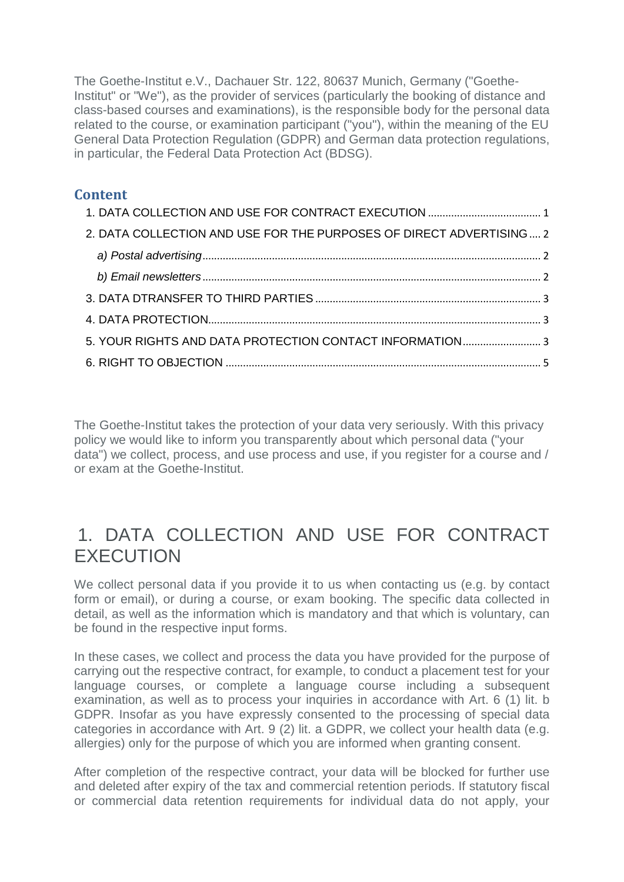The Goethe-Institut e.V., Dachauer Str. 122, 80637 Munich, Germany ("Goethe-Institut" or "We"), as the provider of services (particularly the booking of distance and class-based courses and examinations), is the responsible body for the personal data related to the course, or examination participant ("you"), within the meaning of the EU General Data Protection Regulation (GDPR) and German data protection regulations, in particular, the Federal Data Protection Act (BDSG).

#### **Content**

| 2. DATA COLLECTION AND USE FOR THE PURPOSES OF DIRECT ADVERTISING 2 |  |
|---------------------------------------------------------------------|--|
|                                                                     |  |
|                                                                     |  |
|                                                                     |  |
|                                                                     |  |
| 5. YOUR RIGHTS AND DATA PROTECTION CONTACT INFORMATION 3            |  |
|                                                                     |  |

The Goethe-Institut takes the protection of your data very seriously. With this privacy policy we would like to inform you transparently about which personal data ("your data") we collect, process, and use process and use, if you register for a course and / or exam at the Goethe-Institut.

### <span id="page-0-0"></span>1. DATA COLLECTION AND USE FOR CONTRACT **EXECUTION**

We collect personal data if you provide it to us when contacting us (e.g. by contact form or email), or during a course, or exam booking. The specific data collected in detail, as well as the information which is mandatory and that which is voluntary, can be found in the respective input forms.

In these cases, we collect and process the data you have provided for the purpose of carrying out the respective contract, for example, to conduct a placement test for your language courses, or complete a language course including a subsequent examination, as well as to process your inquiries in accordance with Art. 6 (1) lit. b GDPR. Insofar as you have expressly consented to the processing of special data categories in accordance with Art. 9 (2) lit. a GDPR, we collect your health data (e.g. allergies) only for the purpose of which you are informed when granting consent.

After completion of the respective contract, your data will be blocked for further use and deleted after expiry of the tax and commercial retention periods. If statutory fiscal or commercial data retention requirements for individual data do not apply, your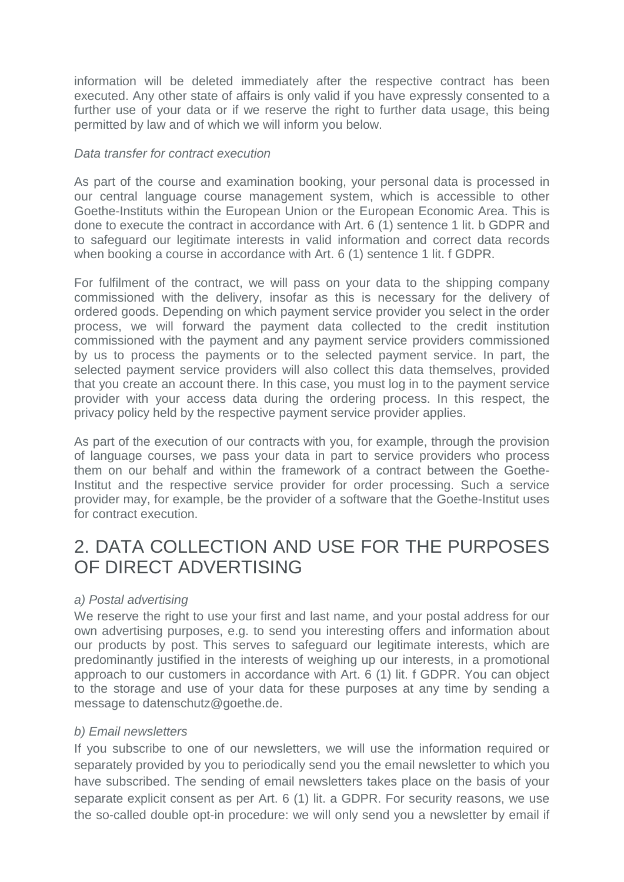information will be deleted immediately after the respective contract has been executed. Any other state of affairs is only valid if you have expressly consented to a further use of your data or if we reserve the right to further data usage, this being permitted by law and of which we will inform you below.

#### *Data transfer for contract execution*

As part of the course and examination booking, your personal data is processed in our central language course management system, which is accessible to other Goethe-Instituts within the European Union or the European Economic Area. This is done to execute the contract in accordance with Art. 6 (1) sentence 1 lit. b GDPR and to safeguard our legitimate interests in valid information and correct data records when booking a course in accordance with Art. 6 (1) sentence 1 lit. f GDPR.

For fulfilment of the contract, we will pass on your data to the shipping company commissioned with the delivery, insofar as this is necessary for the delivery of ordered goods. Depending on which payment service provider you select in the order process, we will forward the payment data collected to the credit institution commissioned with the payment and any payment service providers commissioned by us to process the payments or to the selected payment service. In part, the selected payment service providers will also collect this data themselves, provided that you create an account there. In this case, you must log in to the payment service provider with your access data during the ordering process. In this respect, the privacy policy held by the respective payment service provider applies.

As part of the execution of our contracts with you, for example, through the provision of language courses, we pass your data in part to service providers who process them on our behalf and within the framework of a contract between the Goethe-Institut and the respective service provider for order processing. Such a service provider may, for example, be the provider of a software that the Goethe-Institut uses for contract execution.

### <span id="page-1-0"></span>2. DATA COLLECTION AND USE FOR THE PURPOSES OF DIRECT ADVERTISING

#### <span id="page-1-1"></span>*a) Postal advertising*

We reserve the right to use your first and last name, and your postal address for our own advertising purposes, e.g. to send you interesting offers and information about our products by post. This serves to safeguard our legitimate interests, which are predominantly justified in the interests of weighing up our interests, in a promotional approach to our customers in accordance with Art. 6 (1) lit. f GDPR. You can object to the storage and use of your data for these purposes at any time by sending a message to datenschutz@goethe.de.

#### <span id="page-1-2"></span>*b) Email newsletters*

If you subscribe to one of our newsletters, we will use the information required or separately provided by you to periodically send you the email newsletter to which you have subscribed. The sending of email newsletters takes place on the basis of your separate explicit consent as per Art. 6 (1) lit. a GDPR. For security reasons, we use the so-called double opt-in procedure: we will only send you a newsletter by email if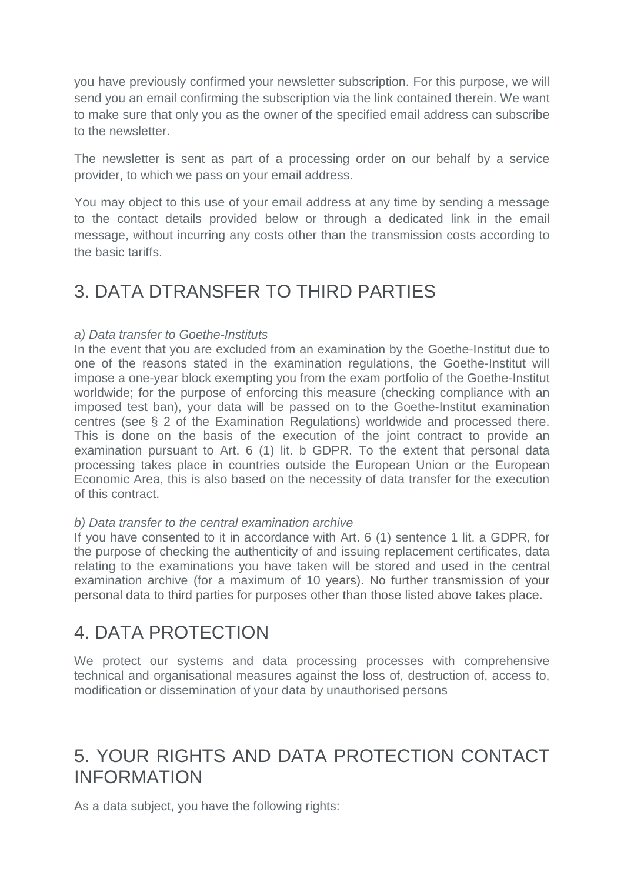you have previously confirmed your newsletter subscription. For this purpose, we will send you an email confirming the subscription via the link contained therein. We want to make sure that only you as the owner of the specified email address can subscribe to the newsletter.

The newsletter is sent as part of a processing order on our behalf by a service provider, to which we pass on your email address.

You may object to this use of your email address at any time by sending a message to the contact details provided below or through a dedicated link in the email message, without incurring any costs other than the transmission costs according to the basic tariffs.

# <span id="page-2-0"></span>3. DATA DTRANSFER TO THIRD PARTIES

#### *a) Data transfer to Goethe-Instituts*

In the event that you are excluded from an examination by the Goethe-Institut due to one of the reasons stated in the examination regulations, the Goethe-Institut will impose a one-year block exempting you from the exam portfolio of the Goethe-Institut worldwide; for the purpose of enforcing this measure (checking compliance with an imposed test ban), your data will be passed on to the Goethe-Institut examination centres (see § 2 of the Examination Regulations) worldwide and processed there. This is done on the basis of the execution of the joint contract to provide an examination pursuant to Art. 6 (1) lit. b GDPR. To the extent that personal data processing takes place in countries outside the European Union or the European Economic Area, this is also based on the necessity of data transfer for the execution of this contract.

#### *b) Data transfer to the central examination archive*

If you have consented to it in accordance with Art. 6 (1) sentence 1 lit. a GDPR, for the purpose of checking the authenticity of and issuing replacement certificates, data relating to the examinations you have taken will be stored and used in the central examination archive (for a maximum of 10 years). No further transmission of your personal data to third parties for purposes other than those listed above takes place.

### <span id="page-2-1"></span>4. DATA PROTECTION

We protect our systems and data processing processes with comprehensive technical and organisational measures against the loss of, destruction of, access to, modification or dissemination of your data by unauthorised persons

# <span id="page-2-2"></span>5. YOUR RIGHTS AND DATA PROTECTION CONTACT INFORMATION

As a data subject, you have the following rights: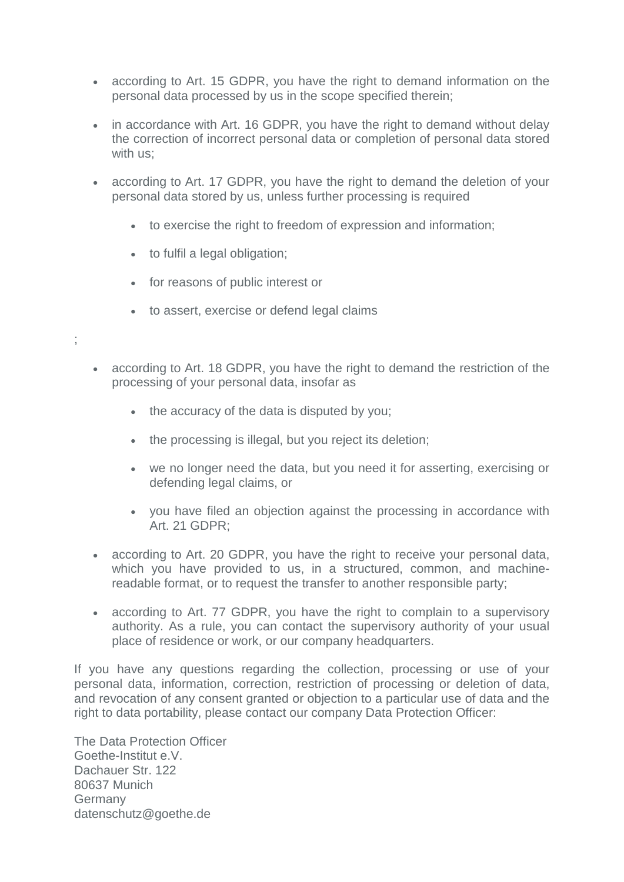- according to Art. 15 GDPR, you have the right to demand information on the personal data processed by us in the scope specified therein;
- in accordance with Art. 16 GDPR, you have the right to demand without delay the correction of incorrect personal data or completion of personal data stored with us;
- according to Art. 17 GDPR, you have the right to demand the deletion of your personal data stored by us, unless further processing is required
	- to exercise the right to freedom of expression and information;
	- to fulfil a legal obligation;

;

- for reasons of public interest or
- to assert, exercise or defend legal claims
- according to Art. 18 GDPR, you have the right to demand the restriction of the processing of your personal data, insofar as
	- the accuracy of the data is disputed by you;
	- the processing is illegal, but you reject its deletion;
	- we no longer need the data, but you need it for asserting, exercising or defending legal claims, or
	- you have filed an objection against the processing in accordance with Art. 21 GDPR;
- according to Art. 20 GDPR, you have the right to receive your personal data, which you have provided to us, in a structured, common, and machinereadable format, or to request the transfer to another responsible party;
- according to Art. 77 GDPR, you have the right to complain to a supervisory authority. As a rule, you can contact the supervisory authority of your usual place of residence or work, or our company headquarters.

If you have any questions regarding the collection, processing or use of your personal data, information, correction, restriction of processing or deletion of data, and revocation of any consent granted or objection to a particular use of data and the right to data portability, please contact our company Data Protection Officer:

The Data Protection Officer Goethe-Institut e.V. Dachauer Str. 122 80637 Munich Germany datenschutz@goethe.de